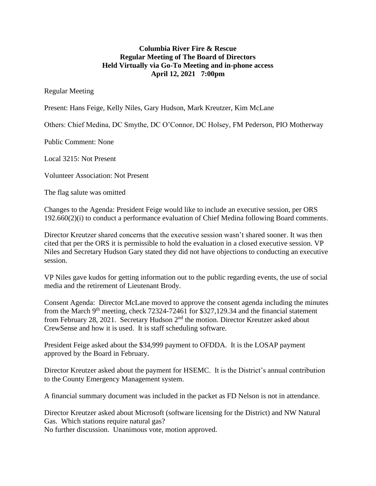## **Columbia River Fire & Rescue Regular Meeting of The Board of Directors Held Virtually via Go-To Meeting and in-phone access April 12, 2021 7:00pm**

## Regular Meeting

Present: Hans Feige, Kelly Niles, Gary Hudson, Mark Kreutzer, Kim McLane

Others: Chief Medina, DC Smythe, DC O'Connor, DC Holsey, FM Pederson, PIO Motherway

Public Comment: None

Local 3215: Not Present

Volunteer Association: Not Present

The flag salute was omitted

Changes to the Agenda: President Feige would like to include an executive session, per ORS 192.660(2)(i) to conduct a performance evaluation of Chief Medina following Board comments.

Director Kreutzer shared concerns that the executive session wasn't shared sooner. It was then cited that per the ORS it is permissible to hold the evaluation in a closed executive session. VP Niles and Secretary Hudson Gary stated they did not have objections to conducting an executive session.

VP Niles gave kudos for getting information out to the public regarding events, the use of social media and the retirement of Lieutenant Brody.

Consent Agenda: Director McLane moved to approve the consent agenda including the minutes from the March 9<sup>th</sup> meeting, check 72324-72461 for \$327,129.34 and the financial statement from February 28, 2021. Secretary Hudson 2<sup>nd</sup> the motion. Director Kreutzer asked about CrewSense and how it is used. It is staff scheduling software.

President Feige asked about the \$34,999 payment to OFDDA. It is the LOSAP payment approved by the Board in February.

Director Kreutzer asked about the payment for HSEMC. It is the District's annual contribution to the County Emergency Management system.

A financial summary document was included in the packet as FD Nelson is not in attendance.

Director Kreutzer asked about Microsoft (software licensing for the District) and NW Natural Gas. Which stations require natural gas?

No further discussion. Unanimous vote, motion approved.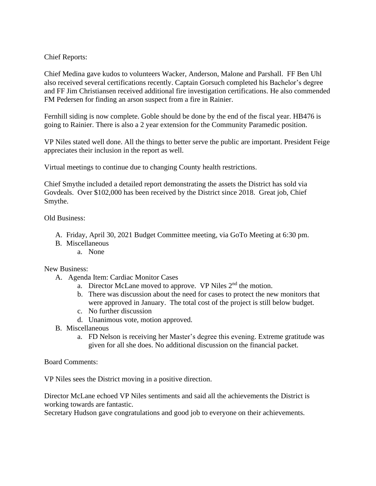## Chief Reports:

Chief Medina gave kudos to volunteers Wacker, Anderson, Malone and Parshall. FF Ben Uhl also received several certifications recently. Captain Gorsuch completed his Bachelor's degree and FF Jim Christiansen received additional fire investigation certifications. He also commended FM Pedersen for finding an arson suspect from a fire in Rainier.

Fernhill siding is now complete. Goble should be done by the end of the fiscal year. HB476 is going to Rainier. There is also a 2 year extension for the Community Paramedic position.

VP Niles stated well done. All the things to better serve the public are important. President Feige appreciates their inclusion in the report as well.

Virtual meetings to continue due to changing County health restrictions.

Chief Smythe included a detailed report demonstrating the assets the District has sold via Govdeals. Over \$102,000 has been received by the District since 2018. Great job, Chief Smythe.

Old Business:

- A. Friday, April 30, 2021 Budget Committee meeting, via GoTo Meeting at 6:30 pm.
- B. Miscellaneous
	- a. None

New Business:

- A. Agenda Item: Cardiac Monitor Cases
	- a. Director McLane moved to approve. VP Niles 2<sup>nd</sup> the motion.
	- b. There was discussion about the need for cases to protect the new monitors that were approved in January. The total cost of the project is still below budget.
	- c. No further discussion
	- d. Unanimous vote, motion approved.
- B. Miscellaneous
	- a. FD Nelson is receiving her Master's degree this evening. Extreme gratitude was given for all she does. No additional discussion on the financial packet.

Board Comments:

VP Niles sees the District moving in a positive direction.

Director McLane echoed VP Niles sentiments and said all the achievements the District is working towards are fantastic.

Secretary Hudson gave congratulations and good job to everyone on their achievements.